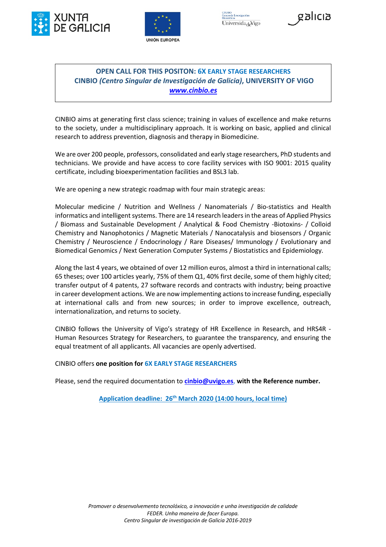







# **OPEN CALL FOR THIS POSITON: 6X EARLY STAGE RESEARCHERS CINBIO** *(Centro Singular de Investigación de Galicia)***, UNIVERSITY OF VIGO** *www.cinbio.es*

CINBIO aims at generating first class science; training in values of excellence and make returns to the society, under a multidisciplinary approach. It is working on basic, applied and clinical research to address prevention, diagnosis and therapy in Biomedicine.

We are over 200 people, professors, consolidated and early stage researchers, PhD students and technicians. We provide and have access to core facility services with ISO 9001: 2015 quality certificate, including bioexperimentation facilities and BSL3 lab.

We are opening a new strategic roadmap with four main strategic areas:

Molecular medicine / Nutrition and Wellness / Nanomaterials / Bio-statistics and Health informatics and intelligent systems. There are 14 research leaders in the areas of Applied Physics / Biomass and Sustainable Development / Analytical & Food Chemistry -Biotoxins- / Colloid Chemistry and Nanophotonics / Magnetic Materials / Nanocatalysis and biosensors / Organic Chemistry / Neuroscience / Endocrinology / Rare Diseases/ Immunology / Evolutionary and Biomedical Genomics / Next Generation Computer Systems / Biostatistics and Epidemiology.

Along the last 4 years, we obtained of over 12 million euros, almost a third in international calls; 65 theses; over 100 articles yearly, 75% of them Q1, 40% first decile, some of them highly cited; transfer output of 4 patents, 27 software records and contracts with industry; being proactive in career development actions. We are now implementing actions to increase funding, especially at international calls and from new sources; in order to improve excellence, outreach, internationalization, and returns to society.

CINBIO follows the University of Vigo's strategy of HR Excellence in Research, and HRS4R - Human Resources Strategy for Researchers, to guarantee the transparency, and ensuring the equal treatment of all applicants. All vacancies are openly advertised.

CINBIO offers **one position for 6X EARLY STAGE RESEARCHERS**

Please, send the required documentation to **cinbio@uvigo.es, with the Reference number.**

**Application deadline: 26th March 2020 (14:00 hours, local time)**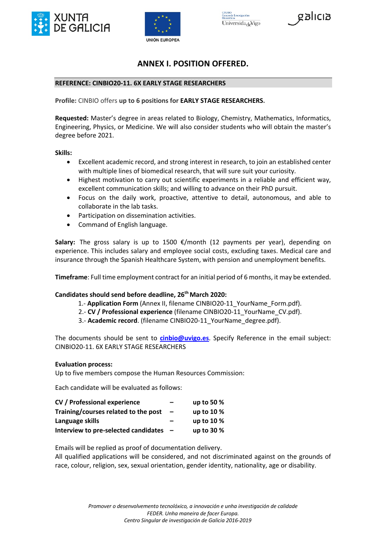





# **ANNEX I. POSITION OFFERED.**

### **REFERENCE: CINBIO20-11. 6X EARLY STAGE RESEARCHERS**

**Profile:** CINBIO offers **up to 6 positions for EARLY STAGE RESEARCHERS.**

**Requested:** Master's degree in areas related to Biology, Chemistry, Mathematics, Informatics, Engineering, Physics, or Medicine. We will also consider students who will obtain the master's degree before 2021.

**Skills:** 

- Excellent academic record, and strong interest in research, to join an established center with multiple lines of biomedical research, that will sure suit your curiosity.
- Highest motivation to carry out scientific experiments in a reliable and efficient way, excellent communication skills; and willing to advance on their PhD pursuit.
- Focus on the daily work, proactive, attentive to detail, autonomous, and able to collaborate in the lab tasks.
- Participation on dissemination activities.
- Command of English language.

**Salary:** The gross salary is up to 1500 €/month (12 payments per year), depending on experience. This includes salary and employee social costs, excluding taxes. Medical care and insurance through the Spanish Healthcare System, with pension and unemployment benefits.

**Timeframe**: Full time employment contract for an initial period of 6 months, it may be extended.

# **Candidates should send before deadline. 26<sup>th</sup> March 2020:**

- 1.- **Application Form** (Annex II, filename CINBIO20-11 YourName Form.pdf).
- 2.- **CV / Professional experience** (filename CINBIO20-11\_YourName\_CV.pdf).
- 3.- **Academic record**. (filename CINBIO20-11\_YourName\_degree.pdf).

The documents should be sent to **cinbio@uvigo.es**. Specify Reference in the email subject: CINBIO20-11. 6X EARLY STAGE RESEARCHERS

#### **Evaluation process:**

Up to five members compose the Human Resources Commission:

Each candidate will be evaluated as follows:

| CV / Professional experience         |                          | up to 50 %   |
|--------------------------------------|--------------------------|--------------|
| Training/courses related to the post | $\overline{\phantom{a}}$ | up to 10 %   |
| Language skills                      |                          | up to $10\%$ |
| Interview to pre-selected candidates |                          | up to $30\%$ |

Emails will be replied as proof of documentation delivery.

All qualified applications will be considered, and not discriminated against on the grounds of race, colour, religion, sex, sexual orientation, gender identity, nationality, age or disability.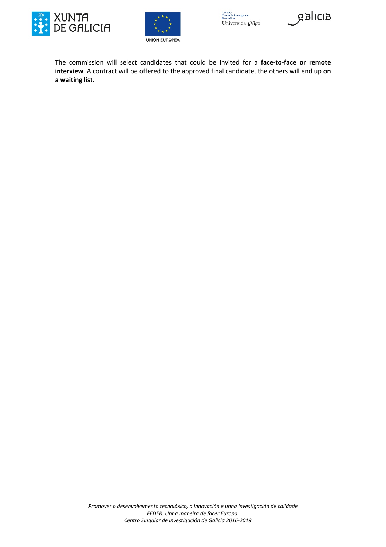







The commission will select candidates that could be invited for a **face-to-face or remote interview**. A contract will be offered to the approved final candidate, the others will end up **on a waiting list.**